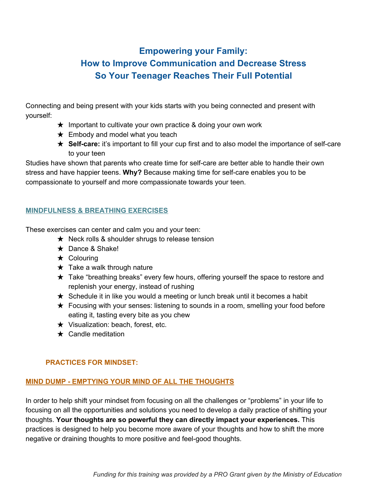# **Empowering your Family: How to Improve Communication and Decrease Stress So Your Teenager Reaches Their Full Potential**

Connecting and being present with your kids starts with you being connected and present with yourself:

- ★ Important to cultivate your own practice & doing your own work
- $\star$  Embody and model what you teach
- ★ **Self-care:** it's important to fill your cup first and to also model the importance of self-care to your teen

Studies have shown that parents who create time for self-care are better able to handle their own stress and have happier teens. **Why?** Because making time for self-care enables you to be compassionate to yourself and more compassionate towards your teen.

# **MINDFULNESS & BREATHING EXERCISES**

These exercises can center and calm you and your teen:

- $\star$  Neck rolls & shoulder shrugs to release tension
- ★ Dance & Shake!
- ★ Colouring
- $\star$  Take a walk through nature
- ★ Take "breathing breaks" every few hours, offering yourself the space to restore and replenish your energy, instead of rushing
- $\star$  Schedule it in like you would a meeting or lunch break until it becomes a habit
- $\star$  Focusing with your senses: listening to sounds in a room, smelling your food before eating it, tasting every bite as you chew
- ★ Visualization: beach, forest, etc.
- $\star$  Candle meditation

# **PRACTICES FOR MINDSET:**

# **MIND DUMP - EMPTYING YOUR MIND OF ALL THE THOUGHTS**

In order to help shift your mindset from focusing on all the challenges or "problems" in your life to focusing on all the opportunities and solutions you need to develop a daily practice of shifting your thoughts. **Your thoughts are so powerful they can directly impact your experiences.** This practices is designed to help you become more aware of your thoughts and how to shift the more negative or draining thoughts to more positive and feel-good thoughts.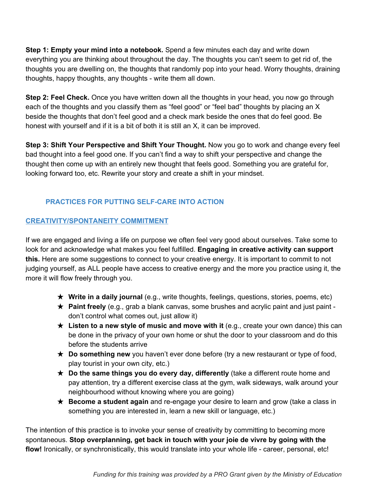**Step 1: Empty your mind into a notebook.** Spend a few minutes each day and write down everything you are thinking about throughout the day. The thoughts you can't seem to get rid of, the thoughts you are dwelling on, the thoughts that randomly pop into your head. Worry thoughts, draining thoughts, happy thoughts, any thoughts - write them all down.

**Step 2: Feel Check.** Once you have written down all the thoughts in your head, you now go through each of the thoughts and you classify them as "feel good" or "feel bad" thoughts by placing an X beside the thoughts that don't feel good and a check mark beside the ones that do feel good. Be honest with yourself and if it is a bit of both it is still an X, it can be improved.

**Step 3: Shift Your Perspective and Shift Your Thought.** Now you go to work and change every feel bad thought into a feel good one. If you can't find a way to shift your perspective and change the thought then come up with an entirely new thought that feels good. Something you are grateful for, looking forward too, etc. Rewrite your story and create a shift in your mindset.

# **PRACTICES FOR PUTTING SELF-CARE INTO ACTION**

#### **CREATIVITY/SPONTANEITY COMMITMENT**

If we are engaged and living a life on purpose we often feel very good about ourselves. Take some to look for and acknowledge what makes you feel fulfilled. **Engaging in creative activity can support this.** Here are some suggestions to connect to your creative energy. It is important to commit to not judging yourself, as ALL people have access to creative energy and the more you practice using it, the more it will flow freely through you.

- ★ **Write in a daily journal** (e.g., write thoughts, feelings, questions, stories, poems, etc)
- ★ **Paint freely** (e.g., grab a blank canvas, some brushes and acrylic paint and just paint don't control what comes out, just allow it)
- ★ **Listen to a new style of music and move with it** (e.g., create your own dance) this can be done in the privacy of your own home or shut the door to your classroom and do this before the students arrive
- ★ **Do something new** you haven't ever done before (try a new restaurant or type of food, play tourist in your own city, etc.)
- ★ **Do the same things you do every day, differently** (take a different route home and pay attention, try a different exercise class at the gym, walk sideways, walk around your neighbourhood without knowing where you are going)
- ★ **Become a student again** and re-engage your desire to learn and grow (take a class in something you are interested in, learn a new skill or language, etc.)

The intention of this practice is to invoke your sense of creativity by committing to becoming more spontaneous. **Stop overplanning, get back in touch with your joie de vivre by going with the** flow! Ironically, or synchronistically, this would translate into your whole life - career, personal, etc!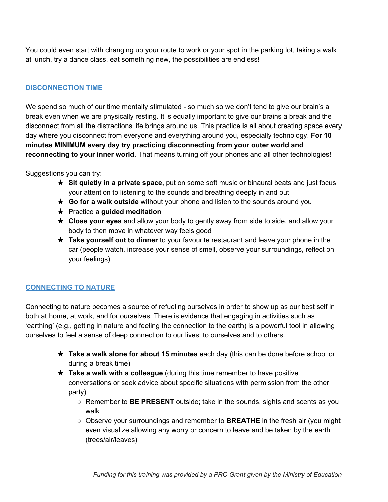You could even start with changing up your route to work or your spot in the parking lot, taking a walk at lunch, try a dance class, eat something new, the possibilities are endless!

#### **DISCONNECTION TIME**

We spend so much of our time mentally stimulated - so much so we don't tend to give our brain's a break even when we are physically resting. It is equally important to give our brains a break and the disconnect from all the distractions life brings around us. This practice is all about creating space every day where you disconnect from everyone and everything around you, especially technology. **For 10 minutes MINIMUM every day try practicing disconnecting from your outer world and reconnecting to your inner world.** That means turning off your phones and all other technologies!

Suggestions you can try:

- ★ **Sit quietly in a private space,** put on some soft music or binaural beats and just focus your attention to listening to the sounds and breathing deeply in and out
- ★ **Go for a walk outside** without your phone and listen to the sounds around you
- ★ Practice a **guided meditation**
- ★ **Close your eyes** and allow your body to gently sway from side to side, and allow your body to then move in whatever way feels good
- ★ **Take yourself out to dinner** to your favourite restaurant and leave your phone in the car (people watch, increase your sense of smell, observe your surroundings, reflect on your feelings)

# **CONNECTING TO NATURE**

Connecting to nature becomes a source of refueling ourselves in order to show up as our best self in both at home, at work, and for ourselves. There is evidence that engaging in activities such as 'earthing' (e.g., getting in nature and feeling the connection to the earth) is a powerful tool in allowing ourselves to feel a sense of deep connection to our lives; to ourselves and to others.

- ★ **Take a walk alone for about 15 minutes** each day (this can be done before school or during a break time)
- ★ **Take a walk with a colleague** (during this time remember to have positive conversations or seek advice about specific situations with permission from the other party)
	- Remember to **BE PRESENT** outside; take in the sounds, sights and scents as you walk
	- Observe your surroundings and remember to **BREATHE** in the fresh air (you might even visualize allowing any worry or concern to leave and be taken by the earth (trees/air/leaves)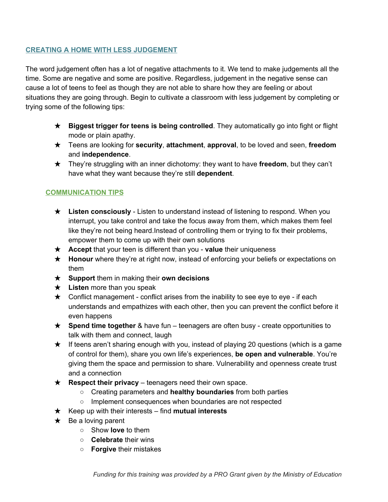#### **CREATING A HOME WITH LESS JUDGEMENT**

The word judgement often has a lot of negative attachments to it. We tend to make judgements all the time. Some are negative and some are positive. Regardless, judgement in the negative sense can cause a lot of teens to feel as though they are not able to share how they are feeling or about situations they are going through. Begin to cultivate a classroom with less judgement by completing or trying some of the following tips:

- ★ **Biggest trigger for teens is being controlled**. They automatically go into fight or flight mode or plain apathy.
- ★ Teens are looking for **security**, **attachment**, **approval**, to be loved and seen, **freedom** and **independence**.
- ★ They're struggling with an inner dichotomy: they want to have **freedom**, but they can't have what they want because they're still **dependent**.

#### **COMMUNICATION TIPS**

- ★ **Listen consciously** Listen to understand instead of listening to respond. When you interrupt, you take control and take the focus away from them, which makes them feel like they're not being heard.Instead of controlling them or trying to fix their problems, empower them to come up with their own solutions
- ★ **Accept** that your teen is different than you **value** their uniqueness
- ★ **Honour** where they're at right now, instead of enforcing your beliefs or expectations on them
- ★ **Support** them in making their **own decisions**
- ★ **Listen** more than you speak
- $\star$  Conflict management conflict arises from the inability to see eye to eye if each understands and empathizes with each other, then you can prevent the conflict before it even happens
- ★ **Spend time together** & have fun teenagers are often busy create opportunities to talk with them and connect, laugh
- ★ If teens aren't sharing enough with you, instead of playing 20 questions (which is a game of control for them), share you own life's experiences, **be open and vulnerable**. You're giving them the space and permission to share. Vulnerability and openness create trust and a connection
- ★ **Respect their privacy** teenagers need their own space.
	- Creating parameters and **healthy boundaries** from both parties
	- Implement consequences when boundaries are not respected
- ★ Keep up with their interests find **mutual interests**
- $\star$  Be a loving parent
	- Show **love** to them
	- **Celebrate** their wins
	- **Forgive** their mistakes